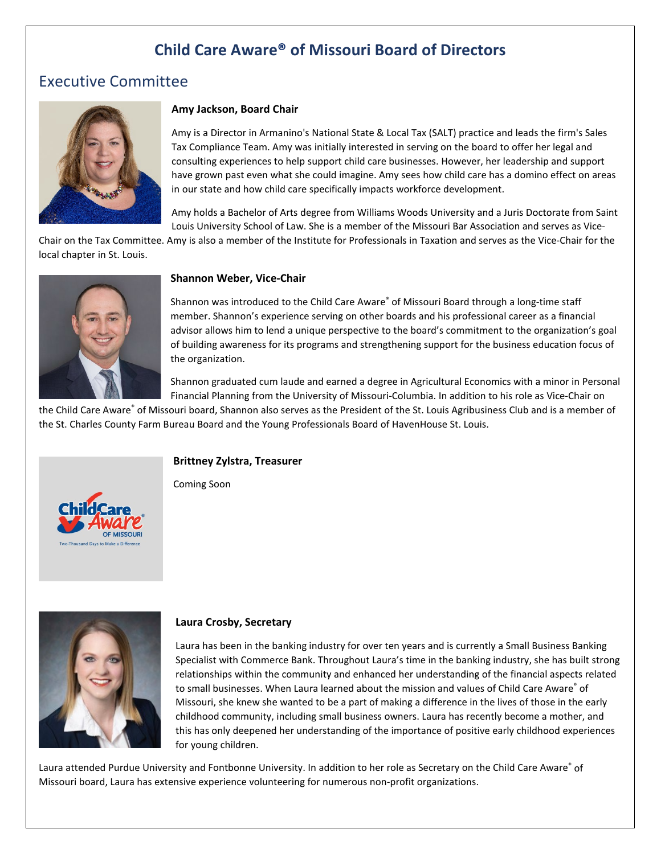# **Child Care Aware® of Missouri Board of Directors**

## Executive Committee



#### **Amy Jackson, Board Chair**

Amy is a Director in Armanino's National State & Local Tax (SALT) practice and leads the firm's Sales Tax Compliance Team. Amy was initially interested in serving on the board to offer her legal and consulting experiences to help support child care businesses. However, her leadership and support have grown past even what she could imagine. Amy sees how child care has a domino effect on areas in our state and how child care specifically impacts workforce development.

Amy holds a Bachelor of Arts degree from Williams Woods University and a Juris Doctorate from Saint Louis University School of Law. She is a member of the Missouri Bar Association and serves as Vice-

Chair on the Tax Committee. Amy is also a member of the Institute for Professionals in Taxation and serves as the Vice-Chair for the local chapter in St. Louis.



#### **Shannon Weber, Vice-Chair**

Shannon was introduced to the Child Care Aware® of Missouri Board through a long-time staff member. Shannon's experience serving on other boards and his professional career as a financial advisor allows him to lend a unique perspective to the board's commitment to the organization's goal of building awareness for its programs and strengthening support for the business education focus of the organization.

Shannon graduated cum laude and earned a degree in Agricultural Economics with a minor in Personal Financial Planning from the University of Missouri-Columbia. In addition to his role as Vice-Chair on

the Child Care Aware® of Missouri board, Shannon also serves as the President of the St. Louis Agribusiness Club and is a member of the St. Charles County Farm Bureau Board and the Young Professionals Board of HavenHouse St. Louis.

#### **Brittney Zylstra, Treasurer**

Coming Soon





#### **Laura Crosby, Secretary**

Laura has been in the banking industry for over ten years and is currently a Small Business Banking Specialist with Commerce Bank. Throughout Laura's time in the banking industry, she has built strong relationships within the community and enhanced her understanding of the financial aspects related to small businesses. When Laura learned about the mission and values of Child Care Aware® of Missouri, she knew she wanted to be a part of making a difference in the lives of those in the early childhood community, including small business owners. Laura has recently become a mother, and this has only deepened her understanding of the importance of positive early childhood experiences for young children.

Laura attended Purdue University and Fontbonne University. In addition to her role as Secretary on the Child Care Aware® of Missouri board, Laura has extensive experience volunteering for numerous non-profit organizations.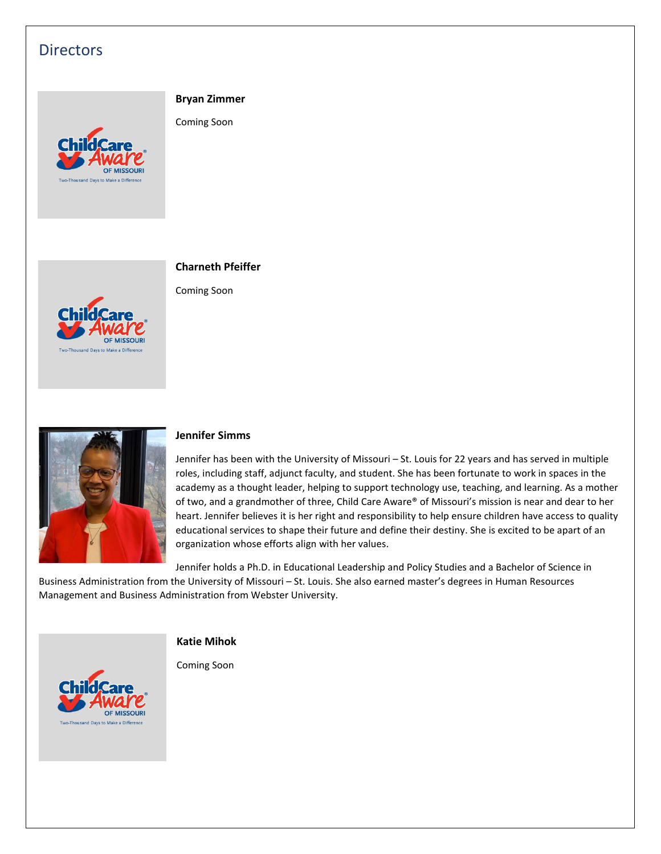## **Directors**

#### **Bryan Zimmer**

Coming Soon





**Charneth Pfeiffer**

Coming Soon



#### **Jennifer Simms**

Jennifer has been with the University of Missouri – St. Louis for 22 years and has served in multiple roles, including staff, adjunct faculty, and student. She has been fortunate to work in spaces in the academy as a thought leader, helping to support technology use, teaching, and learning. As a mother of two, and a grandmother of three, Child Care Aware® of Missouri's mission is near and dear to her heart. Jennifer believes it is her right and responsibility to help ensure children have access to quality educational services to shape their future and define their destiny. She is excited to be apart of an organization whose efforts align with her values.

Jennifer holds a Ph.D. in Educational Leadership and Policy Studies and a Bachelor of Science in Business Administration from the University of Missouri – St. Louis. She also earned master's degrees in Human Resources Management and Business Administration from Webster University.

#### **Katie Mihok**

Coming Soon

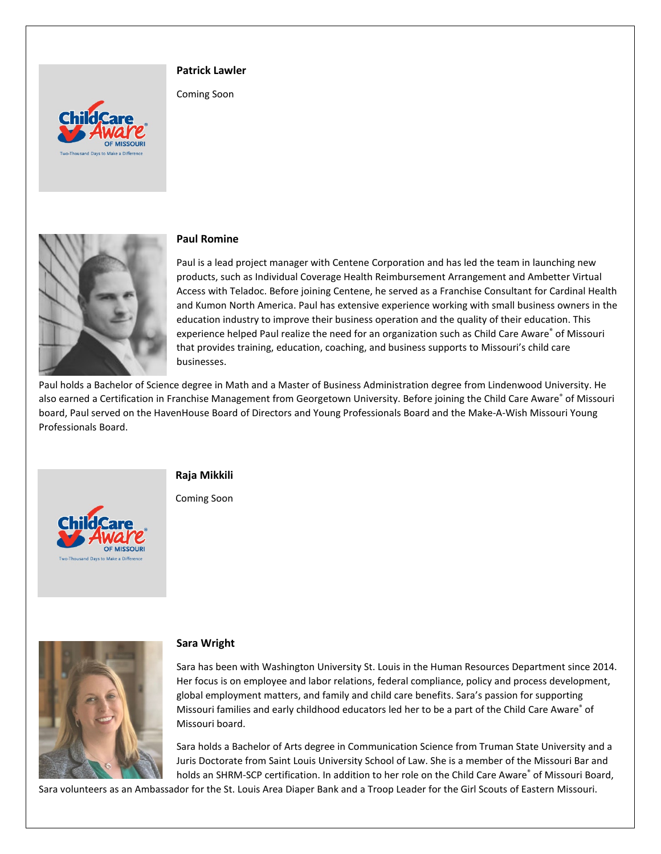#### **Patrick Lawler**

Coming Soon





#### **Paul Romine**

Paul is a lead project manager with Centene Corporation and has led the team in launching new products, such as Individual Coverage Health Reimbursement Arrangement and Ambetter Virtual Access with Teladoc. Before joining Centene, he served as a Franchise Consultant for Cardinal Health and Kumon North America. Paul has extensive experience working with small business owners in the education industry to improve their business operation and the quality of their education. This experience helped Paul realize the need for an organization such as Child Care Aware® of Missouri that provides training, education, coaching, and business supports to Missouri's child care businesses.

Paul holds a Bachelor of Science degree in Math and a Master of Business Administration degree from Lindenwood University. He also earned a Certification in Franchise Management from Georgetown University. Before joining the Child Care Aware® of Missouri board, Paul served on the HavenHouse Board of Directors and Young Professionals Board and the Make-A-Wish Missouri Young Professionals Board.



**Raja Mikkili**

Coming Soon



#### **Sara Wright**

Sara has been with Washington University St. Louis in the Human Resources Department since 2014. Her focus is on employee and labor relations, federal compliance, policy and process development, global employment matters, and family and child care benefits. Sara's passion for supporting Missouri families and early childhood educators led her to be a part of the Child Care Aware® of Missouri board.

Sara holds a Bachelor of Arts degree in Communication Science from Truman State University and a Juris Doctorate from Saint Louis University School of Law. She is a member of the Missouri Bar and holds an SHRM-SCP certification. In addition to her role on the Child Care Aware® of Missouri Board,

Sara volunteers as an Ambassador for the St. Louis Area Diaper Bank and a Troop Leader for the Girl Scouts of Eastern Missouri.